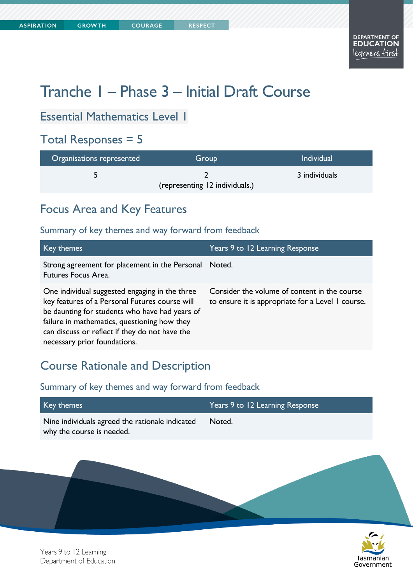**COURAGE** 

# Tranche 1 – Phase 3 – Initial Draft Course

## Essential Mathematics Level 1

## Total Responses = 5

| Organisations represented | Group                          | <b>Individual</b> |
|---------------------------|--------------------------------|-------------------|
|                           | (representing 12 individuals.) | 3 individuals     |

## Focus Area and Key Features

#### Summary of key themes and way forward from feedback

| Key themes                                                                                                                                                                                                                                                                           | Years 9 to 12 Learning Response                                                                   |
|--------------------------------------------------------------------------------------------------------------------------------------------------------------------------------------------------------------------------------------------------------------------------------------|---------------------------------------------------------------------------------------------------|
| Strong agreement for placement in the Personal Noted.<br>Futures Focus Area.                                                                                                                                                                                                         |                                                                                                   |
| One individual suggested engaging in the three<br>key features of a Personal Futures course will<br>be daunting for students who have had years of<br>failure in mathematics, questioning how they<br>can discuss or reflect if they do not have the<br>necessary prior foundations. | Consider the volume of content in the course<br>to ensure it is appropriate for a Level I course. |

## Course Rationale and Description

| Key themes                                                                   | Years 9 to 12 Learning Response |
|------------------------------------------------------------------------------|---------------------------------|
| Nine individuals agreed the rationale indicated<br>why the course is needed. | Noted.                          |
|                                                                              |                                 |

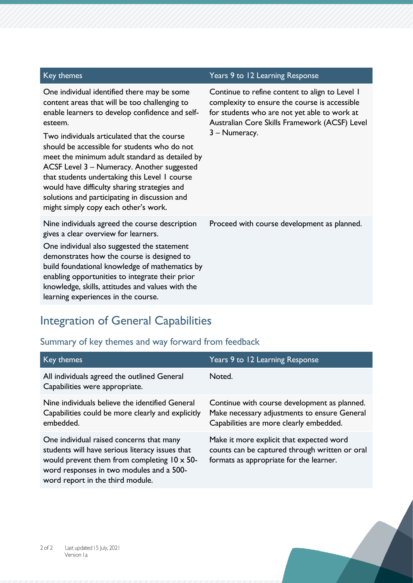| Key themes                                                                                                                                                                                                                                                                                                                                                                                                                                                                                                                                          | Years 9 to 12 Learning Response                                                                                                                                                                                   |
|-----------------------------------------------------------------------------------------------------------------------------------------------------------------------------------------------------------------------------------------------------------------------------------------------------------------------------------------------------------------------------------------------------------------------------------------------------------------------------------------------------------------------------------------------------|-------------------------------------------------------------------------------------------------------------------------------------------------------------------------------------------------------------------|
| One individual identified there may be some<br>content areas that will be too challenging to<br>enable learners to develop confidence and self-<br>esteem.<br>Two individuals articulated that the course<br>should be accessible for students who do not<br>meet the minimum adult standard as detailed by<br>ACSF Level 3 - Numeracy. Another suggested<br>that students undertaking this Level I course<br>would have difficulty sharing strategies and<br>solutions and participating in discussion and<br>might simply copy each other's work. | Continue to refine content to align to Level I<br>complexity to ensure the course is accessible<br>for students who are not yet able to work at<br>Australian Core Skills Framework (ACSF) Level<br>3 - Numeracy. |
| Nine individuals agreed the course description<br>gives a clear overview for learners.<br>One individual also suggested the statement<br>demonstrates how the course is designed to<br>build foundational knowledge of mathematics by<br>enabling opportunities to integrate their prior<br>knowledge, skills, attitudes and values with the<br>learning experiences in the course.                                                                                                                                                                 | Proceed with course development as planned.                                                                                                                                                                       |
| Integration of General Capabilities                                                                                                                                                                                                                                                                                                                                                                                                                                                                                                                 |                                                                                                                                                                                                                   |

| Key themes                                                                                                                                                                                                                         | Years 9 to 12 Learning Response                                                                                                         |
|------------------------------------------------------------------------------------------------------------------------------------------------------------------------------------------------------------------------------------|-----------------------------------------------------------------------------------------------------------------------------------------|
| All individuals agreed the outlined General<br>Capabilities were appropriate.                                                                                                                                                      | Noted.                                                                                                                                  |
| Nine individuals believe the identified General<br>Capabilities could be more clearly and explicitly<br>embedded.                                                                                                                  | Continue with course development as planned.<br>Make necessary adjustments to ensure General<br>Capabilities are more clearly embedded. |
| One individual raised concerns that many<br>students will have serious literacy issues that<br>would prevent them from completing $10 \times 50$ -<br>word responses in two modules and a 500-<br>word report in the third module. | Make it more explicit that expected word<br>counts can be captured through written or oral<br>formats as appropriate for the learner.   |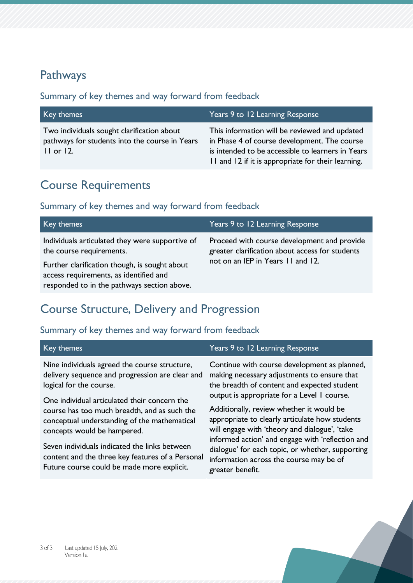## Pathways

#### Summary of key themes and way forward from feedback

| Key themes                                                                                                     | Years 9 to 12 Learning Response                                                                                                                                                                          |
|----------------------------------------------------------------------------------------------------------------|----------------------------------------------------------------------------------------------------------------------------------------------------------------------------------------------------------|
| Two individuals sought clarification about<br>pathways for students into the course in Years<br>$11$ or $12$ . | This information will be reviewed and updated<br>in Phase 4 of course development. The course<br>is intended to be accessible to learners in Years<br>II and 12 if it is appropriate for their learning. |

## Course Requirements

#### Summary of key themes and way forward from feedback

| Key themes                                                                                                                             | Years 9 to 12 Learning Response                                                                |
|----------------------------------------------------------------------------------------------------------------------------------------|------------------------------------------------------------------------------------------------|
| Individuals articulated they were supportive of<br>the course requirements.                                                            | Proceed with course development and provide<br>greater clarification about access for students |
| Further clarification though, is sought about<br>access requirements, as identified and<br>responded to in the pathways section above. | not on an IEP in Years 11 and 12.                                                              |

## Course Structure, Delivery and Progression

| Key themes                                                                                                                                                                                                                                                                                                                                                                                                                                                    | Years 9 to 12 Learning Response                                                                                                                                                                                                                                                                                                                                                                                                                                                                                 |
|---------------------------------------------------------------------------------------------------------------------------------------------------------------------------------------------------------------------------------------------------------------------------------------------------------------------------------------------------------------------------------------------------------------------------------------------------------------|-----------------------------------------------------------------------------------------------------------------------------------------------------------------------------------------------------------------------------------------------------------------------------------------------------------------------------------------------------------------------------------------------------------------------------------------------------------------------------------------------------------------|
| Nine individuals agreed the course structure,<br>delivery sequence and progression are clear and<br>logical for the course.<br>One individual articulated their concern the<br>course has too much breadth, and as such the<br>conceptual understanding of the mathematical<br>concepts would be hampered.<br>Seven individuals indicated the links between<br>content and the three key features of a Personal<br>Future course could be made more explicit. | Continue with course development as planned,<br>making necessary adjustments to ensure that<br>the breadth of content and expected student<br>output is appropriate for a Level I course.<br>Additionally, review whether it would be<br>appropriate to clearly articulate how students<br>will engage with 'theory and dialogue', 'take<br>informed action' and engage with 'reflection and<br>dialogue' for each topic, or whether, supporting<br>information across the course may be of<br>greater benefit. |
|                                                                                                                                                                                                                                                                                                                                                                                                                                                               |                                                                                                                                                                                                                                                                                                                                                                                                                                                                                                                 |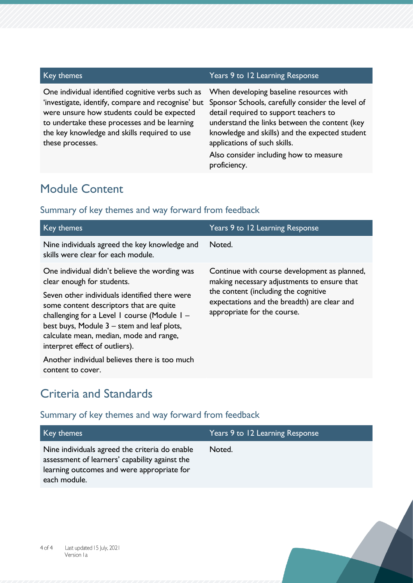One individual identified cognitive verbs such as 'investigate, identify, compare and recognise' but were unsure how students could be expected to undertake these processes and be learning the key knowledge and skills required to use these processes.

#### Key themes Years 9 to 12 Learning Response

When developing baseline resources with Sponsor Schools, carefully consider the level of detail required to support teachers to understand the links between the content (key knowledge and skills) and the expected student applications of such skills.

Also consider including how to measure proficiency.

#### Module Content

#### Summary of key themes and way forward from feedback

| Key themes                                                                                                                                                                                                                                                          | Years 9 to 12 Learning Response                                                                                                                                                                                   |
|---------------------------------------------------------------------------------------------------------------------------------------------------------------------------------------------------------------------------------------------------------------------|-------------------------------------------------------------------------------------------------------------------------------------------------------------------------------------------------------------------|
| Nine individuals agreed the key knowledge and<br>skills were clear for each module.                                                                                                                                                                                 | Noted.                                                                                                                                                                                                            |
| One individual didn't believe the wording was<br>clear enough for students.                                                                                                                                                                                         | Continue with course development as planned,<br>making necessary adjustments to ensure that<br>the content (including the cognitive<br>expectations and the breadth) are clear and<br>appropriate for the course. |
| Seven other individuals identified there were<br>some content descriptors that are quite<br>challenging for a Level I course (Module I -<br>best buys, Module 3 – stem and leaf plots,<br>calculate mean, median, mode and range,<br>interpret effect of outliers). |                                                                                                                                                                                                                   |
| Another individual believes there is too much<br>content to cover.                                                                                                                                                                                                  |                                                                                                                                                                                                                   |

#### Criteria and Standards

| Key themes                                                                                                                                                     | Years 9 to 12 Learning Response |  |
|----------------------------------------------------------------------------------------------------------------------------------------------------------------|---------------------------------|--|
| Nine individuals agreed the criteria do enable<br>assessment of learners' capability against the<br>learning outcomes and were appropriate for<br>each module. | Noted.                          |  |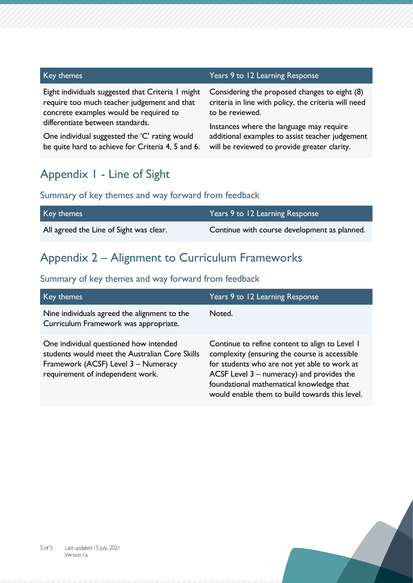Eight individuals suggested that Criteria 1 might require too much teacher judgement and that concrete examples would be required to differentiate between standards.

One individual suggested the 'C' rating would be quite hard to achieve for Criteria 4, 5 and 6.

#### Key themes Years 9 to 12 Learning Response

Considering the proposed changes to eight (8) criteria in line with policy, the criteria will need to be reviewed.

Instances where the language may require additional examples to assist teacher judgement will be reviewed to provide greater clarity.

## Appendix 1 - Line of Sight

#### Summary of key themes and way forward from feedback

| Key themes                              | Years 9 to 12 Learning Response              |
|-----------------------------------------|----------------------------------------------|
| All agreed the Line of Sight was clear. | Continue with course development as planned. |

## Appendix 2 – Alignment to Curriculum Frameworks

| Key themes                                                                                                                                                          | Years 9 to 12 Learning Response                                                                                                                                                                                                                                                              |
|---------------------------------------------------------------------------------------------------------------------------------------------------------------------|----------------------------------------------------------------------------------------------------------------------------------------------------------------------------------------------------------------------------------------------------------------------------------------------|
| Nine individuals agreed the alignment to the<br>Curriculum Framework was appropriate.                                                                               | Noted.                                                                                                                                                                                                                                                                                       |
| One individual questioned how intended<br>students would meet the Australian Core Skills<br>Framework (ACSF) Level 3 - Numeracy<br>requirement of independent work. | Continue to refine content to align to Level 1<br>complexity (ensuring the course is accessible<br>for students who are not yet able to work at<br>ACSF Level $3$ – numeracy) and provides the<br>foundational mathematical knowledge that<br>would enable them to build towards this level. |